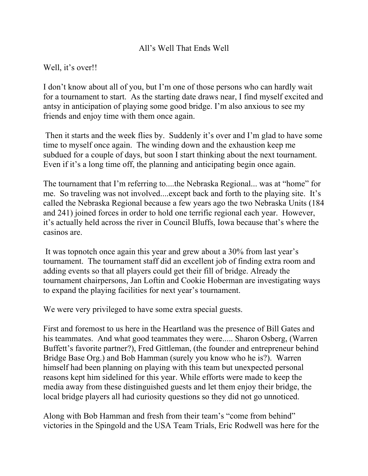## All's Well That Ends Well

## Well, it's over!!

I don't know about all of you, but I'm one of those persons who can hardly wait for a tournament to start. As the starting date draws near, I find myself excited and antsy in anticipation of playing some good bridge. I'm also anxious to see my friends and enjoy time with them once again.

 Then it starts and the week flies by. Suddenly it's over and I'm glad to have some time to myself once again. The winding down and the exhaustion keep me subdued for a couple of days, but soon I start thinking about the next tournament. Even if it's a long time off, the planning and anticipating begin once again.

The tournament that I'm referring to....the Nebraska Regional... was at "home" for me. So traveling was not involved....except back and forth to the playing site. It's called the Nebraska Regional because a few years ago the two Nebraska Units (184 and 241) joined forces in order to hold one terrific regional each year. However, it's actually held across the river in Council Bluffs, Iowa because that's where the casinos are.

 It was topnotch once again this year and grew about a 30% from last year's tournament. The tournament staff did an excellent job of finding extra room and adding events so that all players could get their fill of bridge. Already the tournament chairpersons, Jan Loftin and Cookie Hoberman are investigating ways to expand the playing facilities for next year's tournament.

We were very privileged to have some extra special guests.

First and foremost to us here in the Heartland was the presence of Bill Gates and his teammates. And what good teammates they were..... Sharon Osberg, (Warren Buffett's favorite partner?), Fred Gittleman, (the founder and entrepreneur behind Bridge Base Org.) and Bob Hamman (surely you know who he is?). Warren himself had been planning on playing with this team but unexpected personal reasons kept him sidelined for this year. While efforts were made to keep the media away from these distinguished guests and let them enjoy their bridge, the local bridge players all had curiosity questions so they did not go unnoticed.

Along with Bob Hamman and fresh from their team's "come from behind" victories in the Spingold and the USA Team Trials, Eric Rodwell was here for the